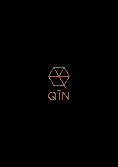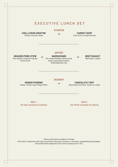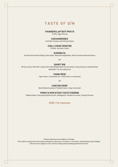### **TASTE OF QĪN**

#### **THUNDERCLAP ROTI PRATA**

*Truffle, Eggs Mimosa*

#### **CHICHARRONES**

*Pork Skin Cracker with Sichuan Spice*

#### **CHILLI CRAB CROSTINI**

*Pomelo, Avocado, Herbs*

#### **KUROBUTA**

*Kurobuta Pork Rack (400g), Asian Salsa, Seasonal Vegetables, Garlic Pommery Mustard Sauce*

*OR*

#### **SHORT RIB**

*36 Hours Sous Vide 100% Angus Short Rib (400g) grilled over binchōtan, Satay Espuma, Sambal Matah (Add \$30++ for this selection)*

### **'SANG MEIN'**

*Tiger Prawn, Crustacean Oil, Truffle Scent, in Casserole*

*OR*

#### **CANTON CRISP**

*Beef Brisket braised in Pickled Cream, Crispy Vermicelli*

#### **PHRAYA RUM STICKY DATE PUDDING**

*Medjool Dates, Gula Apong Butterscotch, Madagascar Vanilla Ice-cream, Orange Perfume*

**\$138++ for 2 persons**

*• Menus and prices are subject to change.*

*• Not valid in conjunction with other promotions, discounts, vouchers, e-vouchers, membership and privileges. • All prices are subject to 10% service charge and prevailing government taxes.*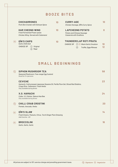# **B O O Z E B I T E S**

| <b>CHICHARRONES</b><br>Pork Skin Cracker with Sichuan Spice                                         | 10 | <b>CURRY-AGE</b><br>Chicken Karaage, QIN's Curry Spice                                                             |          |
|-----------------------------------------------------------------------------------------------------|----|--------------------------------------------------------------------------------------------------------------------|----------|
| <b>HAR CHEONG WING</b><br><b>Fried Fermented Prawn-paste</b><br>Chicken Wing. Served with Calamansi | 10 | <b>LAPCHEONG POTATO</b><br>Potato and Chinese Sausage<br><b>Casserole with Scallions</b>                           |          |
| <b>OIN'S CHIPS</b><br>Garlic Chilli Aioli<br><b>CHOICE OF</b><br>Original<br>'Mala'                 | 10 | <b>THUNDERCLAP ROTI PRATA</b><br><b>CHOICE OF</b> $(1)$ $(9)$ Black Garlic Emulsion<br>Truffle, Eggs Mimosa<br>(2) | 10<br>12 |

**VG**

## **S M A L L B E G INNI N G S**

|                               | <b>SIPHON MUSHROOM TEA</b>                                                                                                                 | 58 |
|-------------------------------|--------------------------------------------------------------------------------------------------------------------------------------------|----|
|                               | Seasonal Mushroom, Free-range Egg Custard<br>Good for 3-4 persons                                                                          |    |
|                               | <b>CEVICHE</b><br>Hamachi, Cold-pressed Japanese Sesame Oil, Perilla Plum Gel, Sliced Red Shallots,<br>Crispy Rice, Calamansi, Fresh Herbs | 23 |
|                               | Only available during dinner                                                                                                               |    |
|                               | <b>X.O. HAMACHI</b>                                                                                                                        | 24 |
|                               | Collar, X.O. Butter, Sakura Hae Bee<br>Only available during dinner                                                                        |    |
| $\leftrightarrow$             | <b>CHILLI CRAB CROSTINI</b>                                                                                                                | 20 |
|                               | Pomelo, Avocado, Herbs                                                                                                                     |    |
| $\langle \texttt{VG} \rangle$ | <b>OĪN'S SLAW</b><br>Fresh Greens, Peanuts, Citrus, Torch Ginger Plum Dressing                                                             | 14 |
|                               | Add Ceviche: +20                                                                                                                           |    |
| $\langle$ VG $\rangle$        | <b>BROCCOLINI</b>                                                                                                                          | 16 |
|                               | Garlic, Garlic, Garlic                                                                                                                     |    |

*All prices are subject to 10% service charge and prevailing government taxes.*  $\quad \bigotimes \text{ Signature } \langle \text{W} \rangle$  *Vegetarian*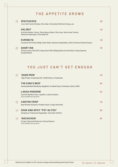# **T H E A P P E TITE G R O W S**

| <b>SPATCHCOCK</b><br>Corn-fed French Chicken, Rice Cake, Fermented Chilli Aioli, Shoyu Jus                                           | 28 |
|--------------------------------------------------------------------------------------------------------------------------------------|----|
| <b>HALIBUT</b><br>Scottish Halibut, Caviar, Shoyu Beurre Blanc, Rice Lees, Semi-dried Tomato,<br>Seasonal Asparagus, Chlorophyll Oil | 48 |
| <b>KUROBUTA</b><br>Kurobuta Pork Rack (400q), Asian Salsa, Seasonal Vegetables, Garlic Pommery Mustard Sauce                         | 48 |
| <b>SHORT RIB</b><br>36 Hours Sous Vide 100% Angus Short Rib (400g) grilled over binchōtan, Satay Espuma,<br>Sambal Matah             | 78 |

# **Y O U J U S T C A N ' T G E T E N O U G H**

|                               | 'SANG MEIN'                                                                     | 48 |
|-------------------------------|---------------------------------------------------------------------------------|----|
|                               | Tiger Prawn, Crustacean Oil, Truffle Scent, in Casserole                        |    |
|                               | <b>THE KING'S BEEF</b>                                                          | 28 |
|                               | Homemade Beef Rendang, Spaghetti, Crushed Cherry Tomatoes, Garlic, Kaffir       |    |
|                               | <b>LAKSA MODERNÈ</b>                                                            | 40 |
|                               | Scottish Bamboo Clam, Capellini, Laksa Emulsion<br>Only available during dinner |    |
|                               | <b>CANTON CRISP</b>                                                             | 48 |
|                               | Beef Brisket braised in Pickled Cream, Crispy Vermicelli                        |    |
| $\langle \texttt{VG} \rangle$ | <b>SOUR AND SPICY "POT AU FEU"</b>                                              | 26 |
|                               | Symphony of Seasonal Vegetables, Vermicelli, Saffron                            |    |
| $\langle$ VG $\rangle$        | 'NOCHICKEN'                                                                     | 28 |
|                               | Eryngii, Seasonal Mushroom, Brussel Sprout<br>Only available during dinner      |    |